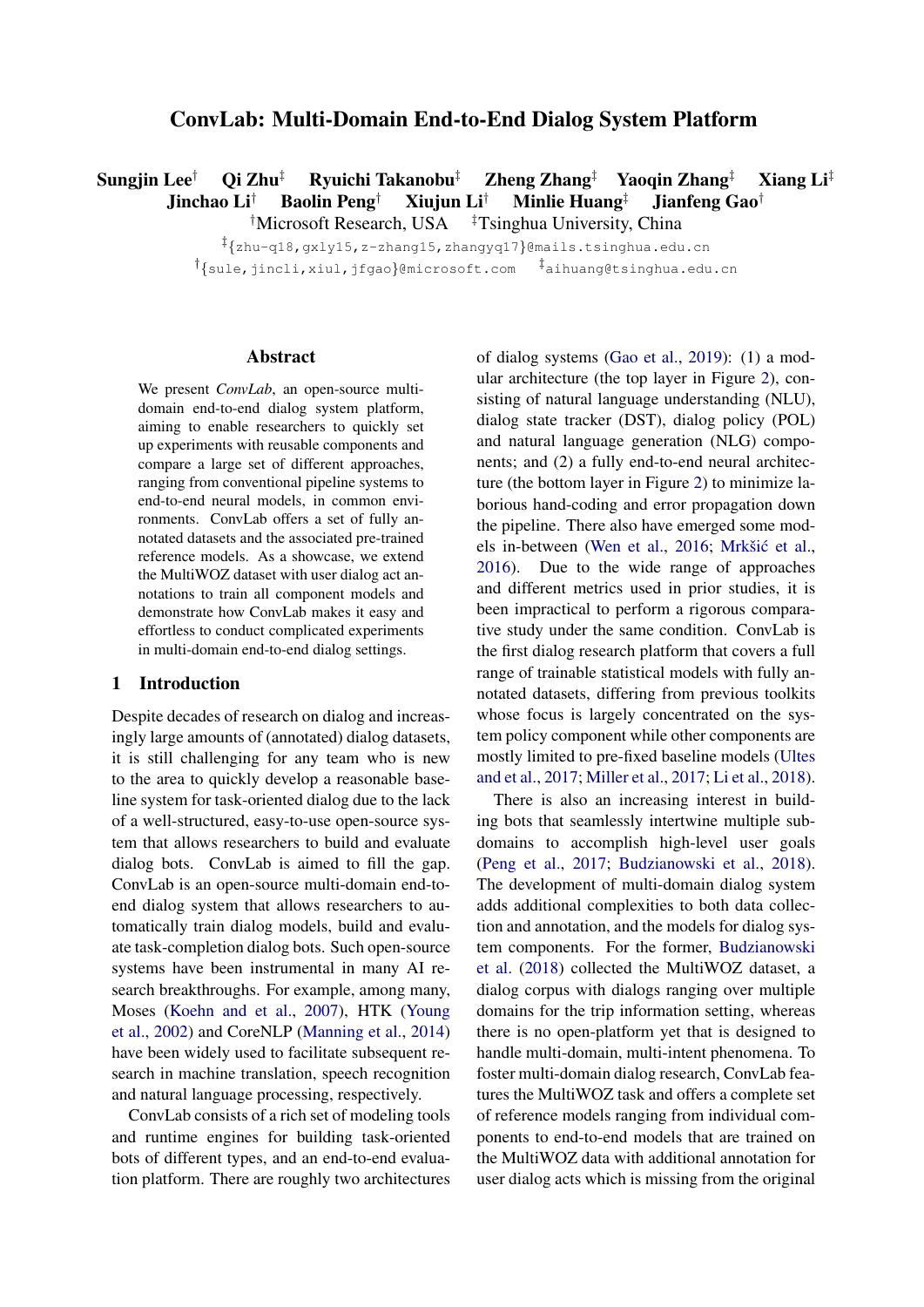# ConvLab: Multi-Domain End-to-End Dialog System Platform

Sungjin Lee<sup>†</sup> Qi Zhu<sup>‡</sup> Ryuichi Takanobu<sup>‡</sup> Zheng Zhang<sup>‡</sup> Yaoqin Zhang<sup>‡</sup> Xiang Li<sup>‡</sup> Jinchao Li† Baolin Peng† Xiujun Li† Minlie Huang‡ Jianfeng Gao†

<sup>†</sup>Microsoft Research, USA  $\overline{\phantom{a}^{\ddagger}}$ Tsinghua University, China

‡ {zhu-q18,gxly15,z-zhang15,zhangyq17}@mails.tsinghua.edu.cn <sup>†</sup>{sule,jincli,xiul,jfgao}@microsoft.com <sup>‡</sup>aihuang@tsinghua.edu.cn

#### Abstract

We present *ConvLab*, an open-source multidomain end-to-end dialog system platform, aiming to enable researchers to quickly set up experiments with reusable components and compare a large set of different approaches, ranging from conventional pipeline systems to end-to-end neural models, in common environments. ConvLab offers a set of fully annotated datasets and the associated pre-trained reference models. As a showcase, we extend the MultiWOZ dataset with user dialog act annotations to train all component models and demonstrate how ConvLab makes it easy and effortless to conduct complicated experiments in multi-domain end-to-end dialog settings.

### 1 Introduction

Despite decades of research on dialog and increasingly large amounts of (annotated) dialog datasets, it is still challenging for any team who is new to the area to quickly develop a reasonable baseline system for task-oriented dialog due to the lack of a well-structured, easy-to-use open-source system that allows researchers to build and evaluate dialog bots. ConvLab is aimed to fill the gap. ConvLab is an open-source multi-domain end-toend dialog system that allows researchers to automatically train dialog models, build and evaluate task-completion dialog bots. Such open-source systems have been instrumental in many AI research breakthroughs. For example, among many, Moses [\(Koehn and et al.,](#page-5-0) [2007\)](#page-5-0), HTK [\(Young](#page-5-1) [et al.,](#page-5-1) [2002\)](#page-5-1) and CoreNLP [\(Manning et al.,](#page-5-2) [2014\)](#page-5-2) have been widely used to facilitate subsequent research in machine translation, speech recognition and natural language processing, respectively.

ConvLab consists of a rich set of modeling tools and runtime engines for building task-oriented bots of different types, and an end-to-end evaluation platform. There are roughly two architectures of dialog systems [\(Gao et al.,](#page-4-0) [2019\)](#page-4-0): (1) a modular architecture (the top layer in Figure [2\)](#page-2-0), consisting of natural language understanding (NLU), dialog state tracker (DST), dialog policy (POL) and natural language generation (NLG) components; and (2) a fully end-to-end neural architecture (the bottom layer in Figure [2\)](#page-2-0) to minimize laborious hand-coding and error propagation down the pipeline. There also have emerged some mod-els in-between [\(Wen et al.,](#page-5-3) [2016;](#page-5-3) Mrkšić et al., [2016\)](#page-5-4). Due to the wide range of approaches and different metrics used in prior studies, it is been impractical to perform a rigorous comparative study under the same condition. ConvLab is the first dialog research platform that covers a full range of trainable statistical models with fully annotated datasets, differing from previous toolkits whose focus is largely concentrated on the system policy component while other components are mostly limited to pre-fixed baseline models [\(Ultes](#page-5-5) [and et al.,](#page-5-5) [2017;](#page-5-5) [Miller et al.,](#page-5-6) [2017;](#page-5-6) [Li et al.,](#page-5-7) [2018\)](#page-5-7).

There is also an increasing interest in building bots that seamlessly intertwine multiple subdomains to accomplish high-level user goals [\(Peng et al.,](#page-5-8) [2017;](#page-5-8) [Budzianowski et al.,](#page-4-1) [2018\)](#page-4-1). The development of multi-domain dialog system adds additional complexities to both data collection and annotation, and the models for dialog system components. For the former, [Budzianowski](#page-4-1) [et al.](#page-4-1) [\(2018\)](#page-4-1) collected the MultiWOZ dataset, a dialog corpus with dialogs ranging over multiple domains for the trip information setting, whereas there is no open-platform yet that is designed to handle multi-domain, multi-intent phenomena. To foster multi-domain dialog research, ConvLab features the MultiWOZ task and offers a complete set of reference models ranging from individual components to end-to-end models that are trained on the MultiWOZ data with additional annotation for user dialog acts which is missing from the original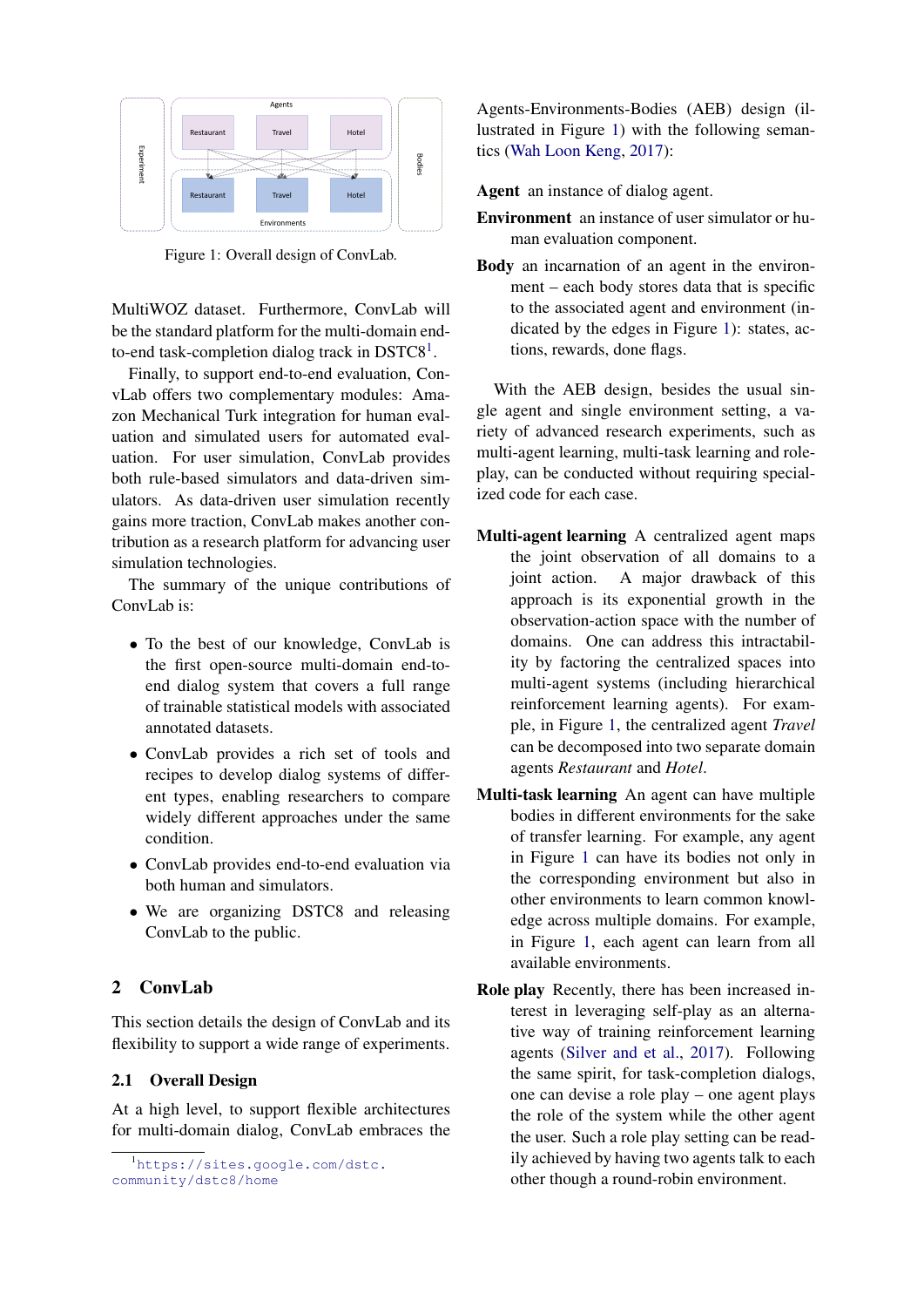<span id="page-1-1"></span>

Figure 1: Overall design of ConvLab.

MultiWOZ dataset. Furthermore, ConvLab will be the standard platform for the multi-domain end-to-end task-completion dialog track in DSTC8<sup>[1](#page-1-0)</sup>.

Finally, to support end-to-end evaluation, ConvLab offers two complementary modules: Amazon Mechanical Turk integration for human evaluation and simulated users for automated evaluation. For user simulation, ConvLab provides both rule-based simulators and data-driven simulators. As data-driven user simulation recently gains more traction, ConvLab makes another contribution as a research platform for advancing user simulation technologies.

The summary of the unique contributions of ConvLab is:

- To the best of our knowledge, ConvLab is the first open-source multi-domain end-toend dialog system that covers a full range of trainable statistical models with associated annotated datasets.
- ConvLab provides a rich set of tools and recipes to develop dialog systems of different types, enabling researchers to compare widely different approaches under the same condition.
- ConvLab provides end-to-end evaluation via both human and simulators.
- We are organizing DSTC8 and releasing ConvLab to the public.

# 2 ConvLab

This section details the design of ConvLab and its flexibility to support a wide range of experiments.

### 2.1 Overall Design

At a high level, to support flexible architectures for multi-domain dialog, ConvLab embraces the

Agents-Environments-Bodies (AEB) design (illustrated in Figure [1\)](#page-1-1) with the following semantics [\(Wah Loon Keng,](#page-5-9) [2017\)](#page-5-9):

Agent an instance of dialog agent.

- Environment an instance of user simulator or human evaluation component.
- Body an incarnation of an agent in the environment – each body stores data that is specific to the associated agent and environment (indicated by the edges in Figure [1\)](#page-1-1): states, actions, rewards, done flags.

With the AEB design, besides the usual single agent and single environment setting, a variety of advanced research experiments, such as multi-agent learning, multi-task learning and roleplay, can be conducted without requiring specialized code for each case.

- Multi-agent learning A centralized agent maps the joint observation of all domains to a joint action. A major drawback of this approach is its exponential growth in the observation-action space with the number of domains. One can address this intractability by factoring the centralized spaces into multi-agent systems (including hierarchical reinforcement learning agents). For example, in Figure [1,](#page-1-1) the centralized agent *Travel* can be decomposed into two separate domain agents *Restaurant* and *Hotel*.
- Multi-task learning An agent can have multiple bodies in different environments for the sake of transfer learning. For example, any agent in Figure [1](#page-1-1) can have its bodies not only in the corresponding environment but also in other environments to learn common knowledge across multiple domains. For example, in Figure [1,](#page-1-1) each agent can learn from all available environments.
- Role play Recently, there has been increased interest in leveraging self-play as an alternative way of training reinforcement learning agents [\(Silver and et al.,](#page-5-10) [2017\)](#page-5-10). Following the same spirit, for task-completion dialogs, one can devise a role play – one agent plays the role of the system while the other agent the user. Such a role play setting can be readily achieved by having two agents talk to each other though a round-robin environment.

<span id="page-1-0"></span><sup>&</sup>lt;sup>1</sup>[https://sites.google.com/dstc.](https://sites.google.com/dstc.community/dstc8/home) [community/dstc8/home](https://sites.google.com/dstc.community/dstc8/home)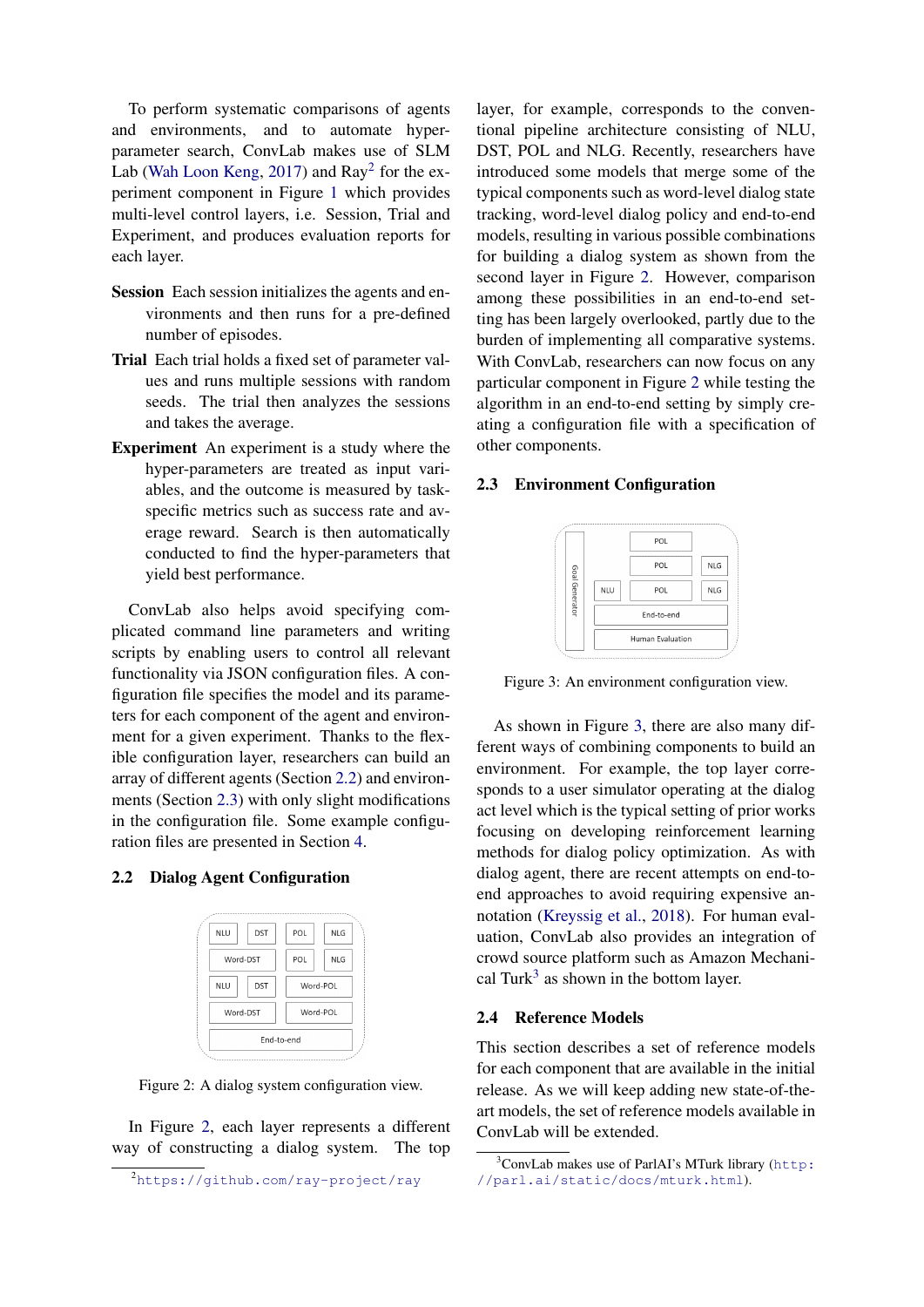To perform systematic comparisons of agents and environments, and to automate hyperparameter search, ConvLab makes use of SLM Lab [\(Wah Loon Keng,](#page-5-9) [2017\)](#page-5-9) and Ray<sup>[2](#page-2-1)</sup> for the experiment component in Figure [1](#page-1-1) which provides multi-level control layers, i.e. Session, Trial and Experiment, and produces evaluation reports for each layer.

- Session Each session initializes the agents and environments and then runs for a pre-defined number of episodes.
- Trial Each trial holds a fixed set of parameter values and runs multiple sessions with random seeds. The trial then analyzes the sessions and takes the average.
- Experiment An experiment is a study where the hyper-parameters are treated as input variables, and the outcome is measured by taskspecific metrics such as success rate and average reward. Search is then automatically conducted to find the hyper-parameters that yield best performance.

ConvLab also helps avoid specifying complicated command line parameters and writing scripts by enabling users to control all relevant functionality via JSON configuration files. A configuration file specifies the model and its parameters for each component of the agent and environment for a given experiment. Thanks to the flexible configuration layer, researchers can build an array of different agents (Section [2.2\)](#page-2-2) and environments (Section [2.3\)](#page-2-3) with only slight modifications in the configuration file. Some example configuration files are presented in Section [4.](#page-4-2)

#### <span id="page-2-2"></span><span id="page-2-0"></span>2.2 Dialog Agent Configuration



Figure 2: A dialog system configuration view.

In Figure [2,](#page-2-0) each layer represents a different way of constructing a dialog system. The top

layer, for example, corresponds to the conventional pipeline architecture consisting of NLU, DST, POL and NLG. Recently, researchers have introduced some models that merge some of the typical components such as word-level dialog state tracking, word-level dialog policy and end-to-end models, resulting in various possible combinations for building a dialog system as shown from the second layer in Figure [2.](#page-2-0) However, comparison among these possibilities in an end-to-end setting has been largely overlooked, partly due to the burden of implementing all comparative systems. With ConvLab, researchers can now focus on any particular component in Figure [2](#page-2-0) while testing the algorithm in an end-to-end setting by simply creating a configuration file with a specification of other components.

## <span id="page-2-4"></span><span id="page-2-3"></span>2.3 Environment Configuration



Figure 3: An environment configuration view.

As shown in Figure [3,](#page-2-4) there are also many different ways of combining components to build an environment. For example, the top layer corresponds to a user simulator operating at the dialog act level which is the typical setting of prior works focusing on developing reinforcement learning methods for dialog policy optimization. As with dialog agent, there are recent attempts on end-toend approaches to avoid requiring expensive annotation [\(Kreyssig et al.,](#page-5-11) [2018\)](#page-5-11). For human evaluation, ConvLab also provides an integration of crowd source platform such as Amazon Mechani-cal Turk<sup>[3](#page-2-5)</sup> as shown in the bottom layer.

#### 2.4 Reference Models

This section describes a set of reference models for each component that are available in the initial release. As we will keep adding new state-of-theart models, the set of reference models available in ConvLab will be extended.

<span id="page-2-1"></span><sup>2</sup><https://github.com/ray-project/ray>

<span id="page-2-5"></span> $3$ ConvLab makes use of ParlAI's MTurk library ([http:](http://parl.ai/static/docs/mturk.html) [//parl.ai/static/docs/mturk.html](http://parl.ai/static/docs/mturk.html)).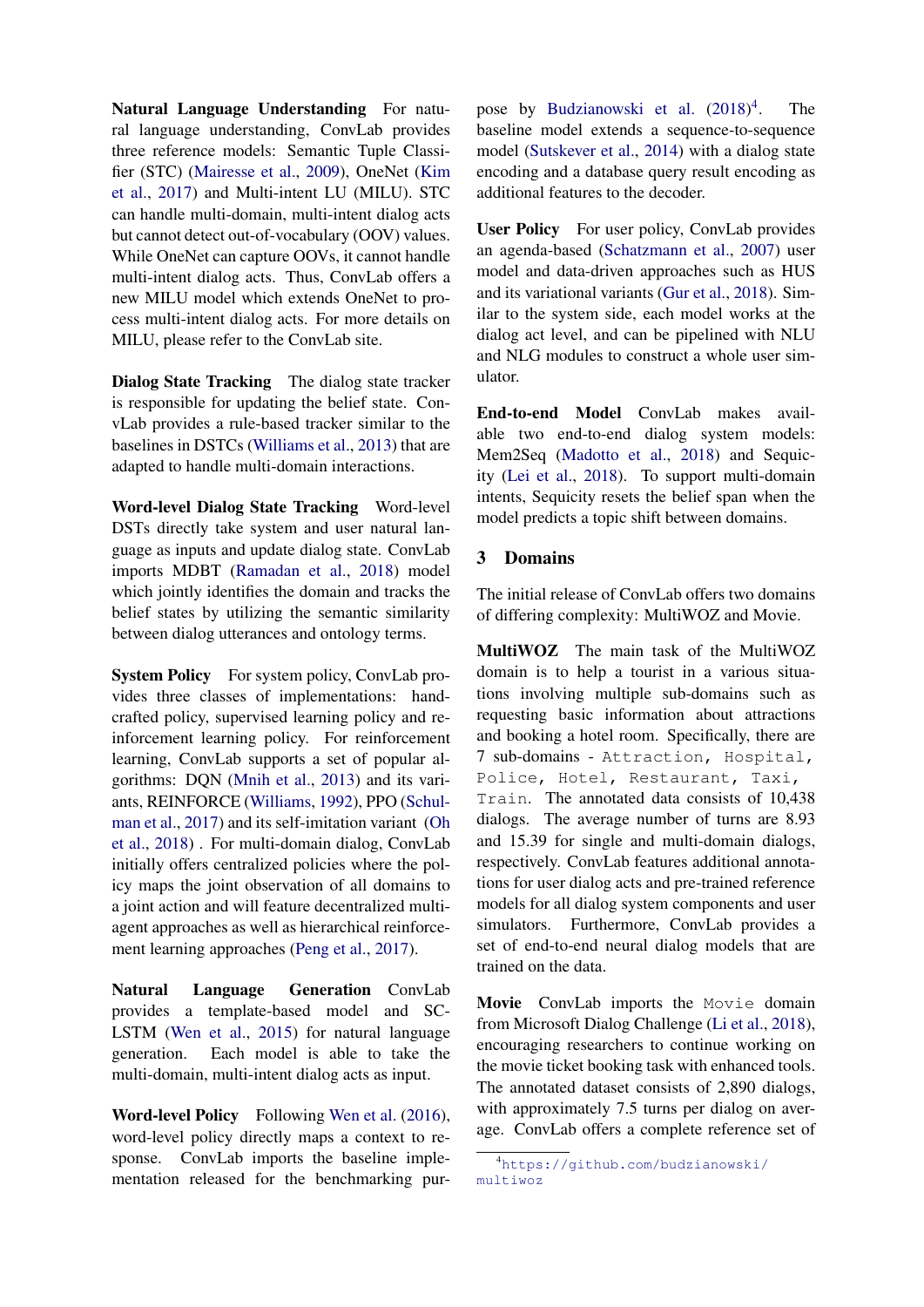Natural Language Understanding For natural language understanding, ConvLab provides three reference models: Semantic Tuple Classifier (STC) [\(Mairesse et al.,](#page-5-12) [2009\)](#page-5-12), OneNet [\(Kim](#page-5-13) [et al.,](#page-5-13) [2017\)](#page-5-13) and Multi-intent LU (MILU). STC can handle multi-domain, multi-intent dialog acts but cannot detect out-of-vocabulary (OOV) values. While OneNet can capture OOVs, it cannot handle multi-intent dialog acts. Thus, ConvLab offers a new MILU model which extends OneNet to process multi-intent dialog acts. For more details on MILU, please refer to the ConvLab site.

Dialog State Tracking The dialog state tracker is responsible for updating the belief state. ConvLab provides a rule-based tracker similar to the baselines in DSTCs [\(Williams et al.,](#page-5-14) [2013\)](#page-5-14) that are adapted to handle multi-domain interactions.

Word-level Dialog State Tracking Word-level DSTs directly take system and user natural language as inputs and update dialog state. ConvLab imports MDBT [\(Ramadan et al.,](#page-5-15) [2018\)](#page-5-15) model which jointly identifies the domain and tracks the belief states by utilizing the semantic similarity between dialog utterances and ontology terms.

System Policy For system policy, ConvLab provides three classes of implementations: handcrafted policy, supervised learning policy and reinforcement learning policy. For reinforcement learning, ConvLab supports a set of popular algorithms: DQN [\(Mnih et al.,](#page-5-16) [2013\)](#page-5-16) and its variants, REINFORCE [\(Williams,](#page-5-17) [1992\)](#page-5-17), PPO [\(Schul](#page-5-18)[man et al.,](#page-5-18) [2017\)](#page-5-18) and its self-imitation variant [\(Oh](#page-5-19) [et al.,](#page-5-19) [2018\)](#page-5-19) . For multi-domain dialog, ConvLab initially offers centralized policies where the policy maps the joint observation of all domains to a joint action and will feature decentralized multiagent approaches as well as hierarchical reinforcement learning approaches [\(Peng et al.,](#page-5-8) [2017\)](#page-5-8).

Natural Language Generation ConvLab provides a template-based model and SC-LSTM [\(Wen et al.,](#page-5-20) [2015\)](#page-5-20) for natural language generation. Each model is able to take the multi-domain, multi-intent dialog acts as input.

Word-level Policy Following [Wen et al.](#page-5-3) [\(2016\)](#page-5-3), word-level policy directly maps a context to response. ConvLab imports the baseline implementation released for the benchmarking pur-

pose by [Budzianowski et al.](#page-4-1) [\(2018\)](#page-4-1) [4](#page-3-0) . The baseline model extends a sequence-to-sequence model [\(Sutskever et al.,](#page-5-21) [2014\)](#page-5-21) with a dialog state encoding and a database query result encoding as additional features to the decoder.

User Policy For user policy, ConvLab provides an agenda-based [\(Schatzmann et al.,](#page-5-22) [2007\)](#page-5-22) user model and data-driven approaches such as HUS and its variational variants [\(Gur et al.,](#page-5-23) [2018\)](#page-5-23). Similar to the system side, each model works at the dialog act level, and can be pipelined with NLU and NLG modules to construct a whole user simulator.

End-to-end Model ConvLab makes available two end-to-end dialog system models: Mem2Seq [\(Madotto et al.,](#page-5-24) [2018\)](#page-5-24) and Sequicity [\(Lei et al.,](#page-5-25) [2018\)](#page-5-25). To support multi-domain intents, Sequicity resets the belief span when the model predicts a topic shift between domains.

# 3 Domains

The initial release of ConvLab offers two domains of differing complexity: MultiWOZ and Movie.

MultiWOZ The main task of the MultiWOZ domain is to help a tourist in a various situations involving multiple sub-domains such as requesting basic information about attractions and booking a hotel room. Specifically, there are 7 sub-domains - Attraction, Hospital, Police, Hotel, Restaurant, Taxi, Train. The annotated data consists of 10,438 dialogs. The average number of turns are 8.93 and 15.39 for single and multi-domain dialogs, respectively. ConvLab features additional annotations for user dialog acts and pre-trained reference models for all dialog system components and user simulators. Furthermore, ConvLab provides a set of end-to-end neural dialog models that are trained on the data.

Movie ConvLab imports the Movie domain from Microsoft Dialog Challenge [\(Li et al.,](#page-5-7) [2018\)](#page-5-7), encouraging researchers to continue working on the movie ticket booking task with enhanced tools. The annotated dataset consists of 2,890 dialogs, with approximately 7.5 turns per dialog on average. ConvLab offers a complete reference set of

<span id="page-3-0"></span><sup>4</sup>[https://github.com/budzianowski/](https://github.com/budzianowski/multiwoz) [multiwoz](https://github.com/budzianowski/multiwoz)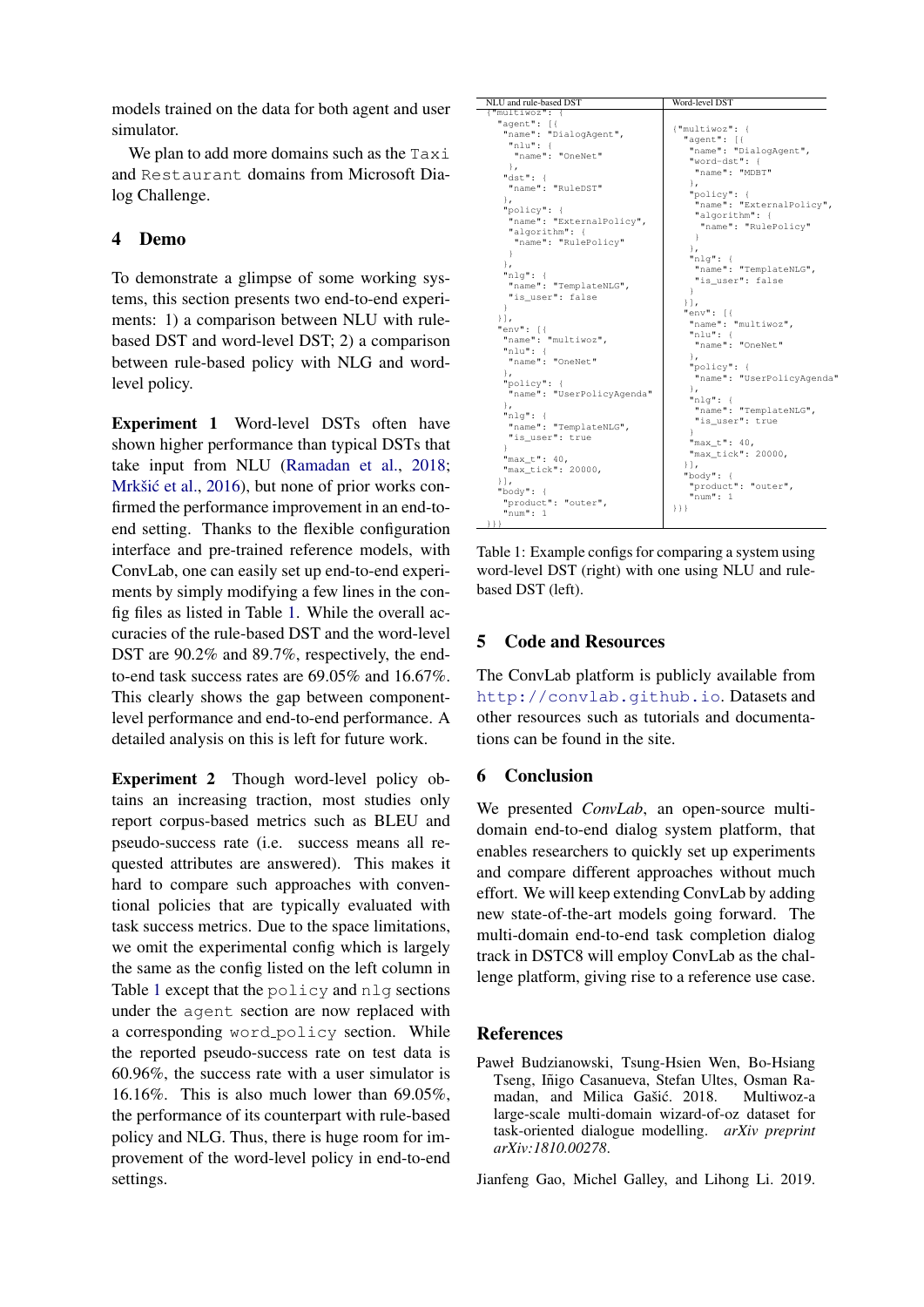models trained on the data for both agent and user simulator.

We plan to add more domains such as the Taxi and Restaurant domains from Microsoft Dialog Challenge.

# <span id="page-4-2"></span>4 Demo

To demonstrate a glimpse of some working systems, this section presents two end-to-end experiments: 1) a comparison between NLU with rulebased DST and word-level DST; 2) a comparison between rule-based policy with NLG and wordlevel policy.

Experiment 1 Word-level DSTs often have shown higher performance than typical DSTs that take input from NLU [\(Ramadan et al.,](#page-5-15) [2018;](#page-5-15) Mrkšić et al., [2016\)](#page-5-4), but none of prior works confirmed the performance improvement in an end-toend setting. Thanks to the flexible configuration interface and pre-trained reference models, with ConvLab, one can easily set up end-to-end experiments by simply modifying a few lines in the config files as listed in Table [1.](#page-4-3) While the overall accuracies of the rule-based DST and the word-level DST are  $90.2\%$  and  $89.7\%$ , respectively, the endto-end task success rates are 69.05% and 16.67%. This clearly shows the gap between componentlevel performance and end-to-end performance. A detailed analysis on this is left for future work.

Experiment 2 Though word-level policy obtains an increasing traction, most studies only report corpus-based metrics such as BLEU and pseudo-success rate (i.e. success means all requested attributes are answered). This makes it hard to compare such approaches with conventional policies that are typically evaluated with task success metrics. Due to the space limitations, we omit the experimental config which is largely the same as the config listed on the left column in Table [1](#page-4-3) except that the policy and nlg sections under the agent section are now replaced with a corresponding word policy section. While the reported pseudo-success rate on test data is 60.96%, the success rate with a user simulator is 16.16%. This is also much lower than 69.05%, the performance of its counterpart with rule-based policy and NLG. Thus, there is huge room for improvement of the word-level policy in end-to-end settings.

<span id="page-4-3"></span>

| NLU and rule-based DST                                                                                                                                                                                                                                                                                                                                                                                                                          | Word-level DST                                                                                                                                                                                                                                                                                                                                                                                                                                                                                                |
|-------------------------------------------------------------------------------------------------------------------------------------------------------------------------------------------------------------------------------------------------------------------------------------------------------------------------------------------------------------------------------------------------------------------------------------------------|---------------------------------------------------------------------------------------------------------------------------------------------------------------------------------------------------------------------------------------------------------------------------------------------------------------------------------------------------------------------------------------------------------------------------------------------------------------------------------------------------------------|
| {"multiwoz": {<br>"agent": [{<br>"name": "DialogAgent",<br>$"$ nlu": {                                                                                                                                                                                                                                                                                                                                                                          | {"multiwoz": {<br>"agent": [{                                                                                                                                                                                                                                                                                                                                                                                                                                                                                 |
| "name": "OneNet"<br>Ι,<br>"dst":<br>"name": "RuleDST"<br>$\}$ ,<br>"policy": {<br>"name": "ExternalPolicy",<br>"algorithm": {<br>"name": "RulePolicy"<br>ł<br>١,<br>$"nlq"$ : {<br>"name": "TemplateNLG",<br>"is user": false<br>}<br>$\vert$ ],<br>$"env"$ : [{<br>"name": "multiwoz",<br>"nlu" :<br>"name": "OneNet"<br>١.<br>"policy": {<br>"name": "UserPolicyAgenda"<br>$\}$ ,<br>$"nlq"$ : {<br>"name": "TemplateNLG",<br>"is user": true | "name": "DialogAgent",<br>"word-dst": {<br>"name": "MDBT"<br>Ι,<br>"policy": {<br>"name": "ExternalPolicy",<br>"algorithm": {<br>"name": "RulePolicy"<br>$\rightarrow$<br>١.<br>$"nlq"$ : {<br>"name": "TemplateNLG",<br>"is user": false<br>$\mathcal{F}$<br>$\vert \cdot \vert$<br>$"env"$ : [{<br>"name": "multiwoz",<br>$"$ nlu": {<br>"name": "OneNet"<br>Ι,<br>"policy": {<br>"name": "UserPolicyAgenda"<br>$\}$ ,<br>$"nlq"$ : {<br>"name": "TemplateNLG",<br>"is user": true<br>J.<br>"max $t$ ": 40, |
| "max $t$ ": 40,<br>"max tick": 20000,<br>$\mathcal{L}$<br>"body": $\{$<br>"product": "outer",<br>"num": 1<br>日                                                                                                                                                                                                                                                                                                                                  | "max_tick": 20000,<br>$\vert \cdot \vert$ ,<br>"body": {<br>"product": "outer",<br>"num": 1<br>${}^{1}$                                                                                                                                                                                                                                                                                                                                                                                                       |

Table 1: Example configs for comparing a system using word-level DST (right) with one using NLU and rulebased DST (left).

# 5 Code and Resources

The ConvLab platform is publicly available from <http://convlab.github.io>. Datasets and other resources such as tutorials and documentations can be found in the site.

# 6 Conclusion

We presented *ConvLab*, an open-source multidomain end-to-end dialog system platform, that enables researchers to quickly set up experiments and compare different approaches without much effort. We will keep extending ConvLab by adding new state-of-the-art models going forward. The multi-domain end-to-end task completion dialog track in DSTC8 will employ ConvLab as the challenge platform, giving rise to a reference use case.

# References

<span id="page-4-1"></span>Paweł Budzianowski, Tsung-Hsien Wen, Bo-Hsiang Tseng, Iñigo Casanueva, Stefan Ultes, Osman Ramadan, and Milica Gašić. 2018. Multiwoz-a large-scale multi-domain wizard-of-oz dataset for task-oriented dialogue modelling. *arXiv preprint arXiv:1810.00278*.

<span id="page-4-0"></span>Jianfeng Gao, Michel Galley, and Lihong Li. 2019.